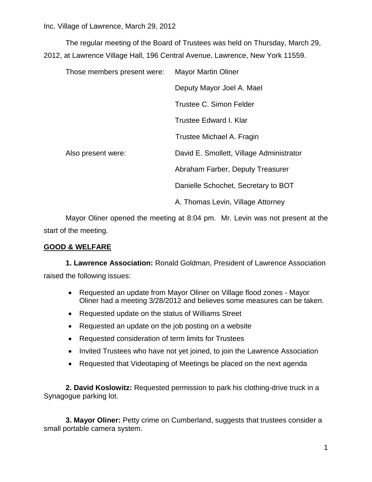The regular meeting of the Board of Trustees was held on Thursday, March 29, 2012, at Lawrence Village Hall, 196 Central Avenue, Lawrence, New York 11559.

| Those members present were: |                    | <b>Mayor Martin Oliner</b>               |  |  |
|-----------------------------|--------------------|------------------------------------------|--|--|
|                             |                    | Deputy Mayor Joel A. Mael                |  |  |
|                             |                    | Trustee C. Simon Felder                  |  |  |
|                             |                    | Trustee Edward I. Klar                   |  |  |
|                             |                    | Trustee Michael A. Fragin                |  |  |
|                             | Also present were: | David E. Smollett, Village Administrator |  |  |
|                             |                    | Abraham Farber, Deputy Treasurer         |  |  |
|                             |                    | Danielle Schochet, Secretary to BOT      |  |  |
|                             |                    | A. Thomas Levin, Village Attorney        |  |  |

Mayor Oliner opened the meeting at 8:04 pm. Mr. Levin was not present at the start of the meeting.

#### **GOOD & WELFARE**

**1. Lawrence Association:** Ronald Goldman, President of Lawrence Association raised the following issues:

- Requested an update from Mayor Oliner on Village flood zones Mayor Oliner had a meeting 3/28/2012 and believes some measures can be taken.
- Requested update on the status of Williams Street
- Requested an update on the job posting on a website
- Requested consideration of term limits for Trustees
- Invited Trustees who have not yet joined, to join the Lawrence Association
- Requested that Videotaping of Meetings be placed on the next agenda

**2. David Koslowitz:** Requested permission to park his clothing-drive truck in a Synagogue parking lot.

**3. Mayor Oliner:** Petty crime on Cumberland, suggests that trustees consider a small portable camera system.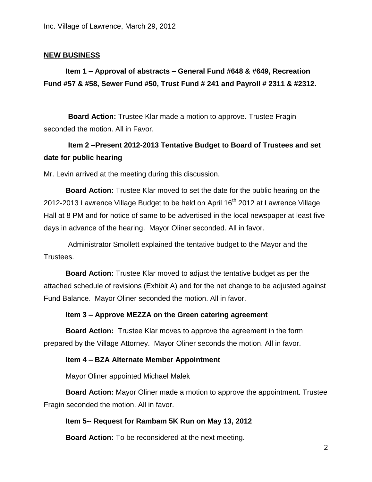#### **NEW BUSINESS**

## **Item 1 – Approval of abstracts – General Fund #648 & #649, Recreation Fund #57 & #58, Sewer Fund #50, Trust Fund # 241 and Payroll # 2311 & #2312.**

 **Board Action:** Trustee Klar made a motion to approve. Trustee Fragin seconded the motion. All in Favor.

### **Item 2 –Present 2012-2013 Tentative Budget to Board of Trustees and set date for public hearing**

Mr. Levin arrived at the meeting during this discussion.

**Board Action:** Trustee Klar moved to set the date for the public hearing on the 2012-2013 Lawrence Village Budget to be held on April 16<sup>th</sup> 2012 at Lawrence Village Hall at 8 PM and for notice of same to be advertised in the local newspaper at least five days in advance of the hearing. Mayor Oliner seconded. All in favor.

Administrator Smollett explained the tentative budget to the Mayor and the Trustees.

**Board Action:** Trustee Klar moved to adjust the tentative budget as per the attached schedule of revisions (Exhibit A) and for the net change to be adjusted against Fund Balance. Mayor Oliner seconded the motion. All in favor.

#### **Item 3 – Approve MEZZA on the Green catering agreement**

**Board Action:** Trustee Klar moves to approve the agreement in the form prepared by the Village Attorney. Mayor Oliner seconds the motion. All in favor.

#### **Item 4 – BZA Alternate Member Appointment**

Mayor Oliner appointed Michael Malek

**Board Action:** Mayor Oliner made a motion to approve the appointment. Trustee Fragin seconded the motion. All in favor.

#### **Item 5-- Request for Rambam 5K Run on May 13, 2012**

**Board Action:** To be reconsidered at the next meeting.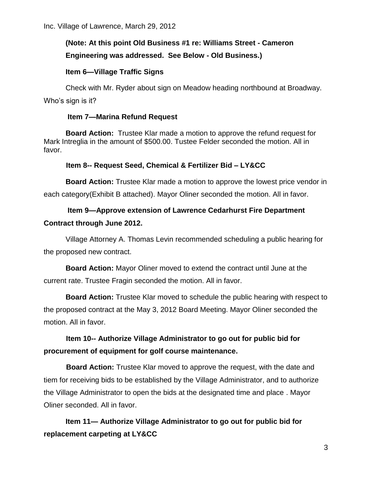# **(Note: At this point Old Business #1 re: Williams Street - Cameron Engineering was addressed. See Below - Old Business.)**

### **Item 6—Village Traffic Signs**

Check with Mr. Ryder about sign on Meadow heading northbound at Broadway. Who's sign is it?

#### **Item 7—Marina Refund Request**

**Board Action:** Trustee Klar made a motion to approve the refund request for Mark Intreglia in the amount of \$500.00. Tustee Felder seconded the motion. All in favor.

### **Item 8-- Request Seed, Chemical & Fertilizer Bid – LY&CC**

**Board Action:** Trustee Klar made a motion to approve the lowest price vendor in each category(Exhibit B attached). Mayor Oliner seconded the motion. All in favor.

### **Item 9—Approve extension of Lawrence Cedarhurst Fire Department Contract through June 2012.**

Village Attorney A. Thomas Levin recommended scheduling a public hearing for the proposed new contract.

**Board Action:** Mayor Oliner moved to extend the contract until June at the current rate. Trustee Fragin seconded the motion. All in favor.

**Board Action:** Trustee Klar moved to schedule the public hearing with respect to the proposed contract at the May 3, 2012 Board Meeting. Mayor Oliner seconded the motion. All in favor.

## **Item 10-- Authorize Village Administrator to go out for public bid for procurement of equipment for golf course maintenance.**

 **Board Action:** Trustee Klar moved to approve the request, with the date and tiem for receiving bids to be established by the Village Administrator, and to authorize the Village Administrator to open the bids at the designated time and place . Mayor Oliner seconded. All in favor.

**Item 11— Authorize Village Administrator to go out for public bid for replacement carpeting at LY&CC**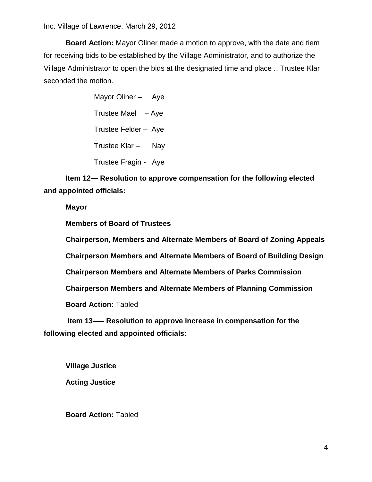**Board Action:** Mayor Oliner made a motion to approve, with the date and tiem for receiving bids to be established by the Village Administrator, and to authorize the Village Administrator to open the bids at the designated time and place .. Trustee Klar seconded the motion.

> Mayor Oliner - Aye Trustee Mael – Aye Trustee Felder – Aye Trustee Klar – Nay Trustee Fragin - Aye

**Item 12— Resolution to approve compensation for the following elected and appointed officials:**

**Mayor**

**Members of Board of Trustees**

**Chairperson, Members and Alternate Members of Board of Zoning Appeals**

**Chairperson Members and Alternate Members of Board of Building Design**

**Chairperson Members and Alternate Members of Parks Commission**

**Chairperson Members and Alternate Members of Planning Commission**

**Board Action:** Tabled

**Item 13—– Resolution to approve increase in compensation for the following elected and appointed officials:**

**Village Justice**

**Acting Justice**

**Board Action:** Tabled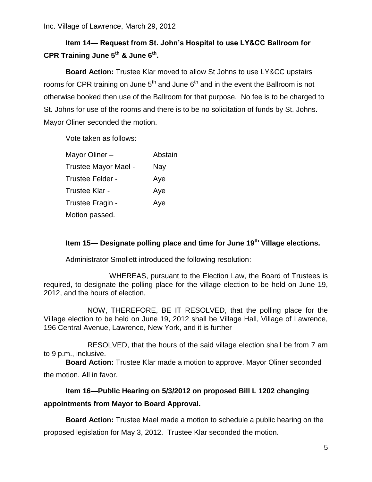## **Item 14— Request from St. John's Hospital to use LY&CC Ballroom for CPR Training June 5th & June 6th .**

**Board Action:** Trustee Klar moved to allow St Johns to use LY&CC upstairs rooms for CPR training on June  $5<sup>th</sup>$  and June  $6<sup>th</sup>$  and in the event the Ballroom is not otherwise booked then use of the Ballroom for that purpose. No fee is to be charged to St. Johns for use of the rooms and there is to be no solicitation of funds by St. Johns. Mayor Oliner seconded the motion.

Vote taken as follows:

| Mayor Oliner –       | Abstain |
|----------------------|---------|
| Trustee Mayor Mael - | Nay     |
| Trustee Felder -     | Aye     |
| Trustee Klar -       | Aye     |
| Trustee Fragin -     | Aye     |
| Motion passed.       |         |

### **Item 15— Designate polling place and time for June 19th Village elections.**

Administrator Smollett introduced the following resolution:

WHEREAS, pursuant to the Election Law, the Board of Trustees is required, to designate the polling place for the village election to be held on June 19, 2012, and the hours of election,

NOW, THEREFORE, BE IT RESOLVED, that the polling place for the Village election to be held on June 19, 2012 shall be Village Hall, Village of Lawrence, 196 Central Avenue, Lawrence, New York, and it is further

RESOLVED, that the hours of the said village election shall be from 7 am to 9 p.m., inclusive.

**Board Action:** Trustee Klar made a motion to approve. Mayor Oliner seconded the motion. All in favor.

## **Item 16—Public Hearing on 5/3/2012 on proposed Bill L 1202 changing appointments from Mayor to Board Approval.**

**Board Action:** Trustee Mael made a motion to schedule a public hearing on the proposed legislation for May 3, 2012. Trustee Klar seconded the motion.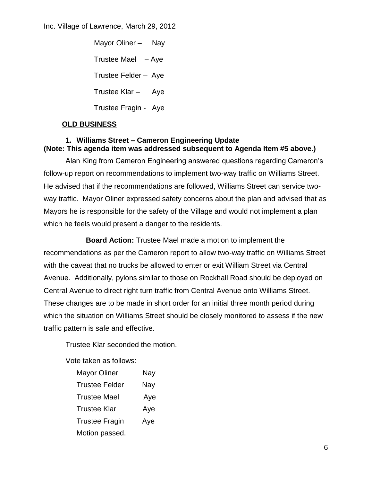Mayor Oliner – Nay Trustee Mael  $-$  Aye Trustee Felder – Aye Trustee Klar – Aye Trustee Fragin - Aye

### **OLD BUSINESS**

# **1. Williams Street – Cameron Engineering Update**

### **(Note: This agenda item was addressed subsequent to Agenda Item #5 above.)**

Alan King from Cameron Engineering answered questions regarding Cameron's follow-up report on recommendations to implement two-way traffic on Williams Street. He advised that if the recommendations are followed, Williams Street can service twoway traffic. Mayor Oliner expressed safety concerns about the plan and advised that as Mayors he is responsible for the safety of the Village and would not implement a plan which he feels would present a danger to the residents.

 **Board Action:** Trustee Mael made a motion to implement the recommendations as per the Cameron report to allow two-way traffic on Williams Street with the caveat that no trucks be allowed to enter or exit William Street via Central Avenue. Additionally, pylons similar to those on Rockhall Road should be deployed on Central Avenue to direct right turn traffic from Central Avenue onto Williams Street. These changes are to be made in short order for an initial three month period during which the situation on Williams Street should be closely monitored to assess if the new traffic pattern is safe and effective.

Trustee Klar seconded the motion.

Vote taken as follows:

| Nay |
|-----|
| Nay |
| Aye |
| Aye |
| Aye |
|     |
|     |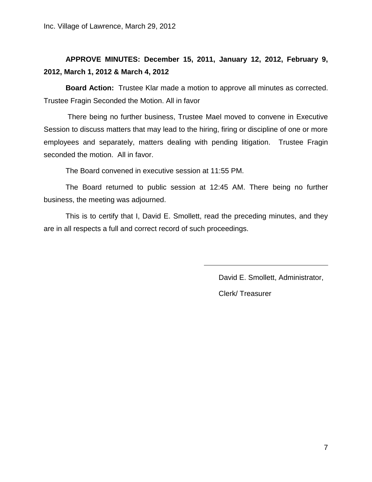# **APPROVE MINUTES: December 15, 2011, January 12, 2012, February 9, 2012, March 1, 2012 & March 4, 2012**

**Board Action:** Trustee Klar made a motion to approve all minutes as corrected. Trustee Fragin Seconded the Motion. All in favor

There being no further business, Trustee Mael moved to convene in Executive Session to discuss matters that may lead to the hiring, firing or discipline of one or more employees and separately, matters dealing with pending litigation. Trustee Fragin seconded the motion. All in favor.

The Board convened in executive session at 11:55 PM.

The Board returned to public session at 12:45 AM. There being no further business, the meeting was adjourned.

This is to certify that I, David E. Smollett, read the preceding minutes, and they are in all respects a full and correct record of such proceedings.

David E. Smollett, Administrator,

Clerk/ Treasurer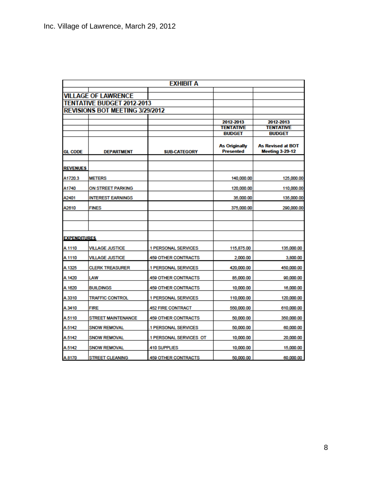|                     |                                   | <b>EXHIBIT A</b>           |                                          |                                                    |
|---------------------|-----------------------------------|----------------------------|------------------------------------------|----------------------------------------------------|
|                     | <b>VILLAGE OF LAWRENCE</b>        |                            |                                          |                                                    |
|                     | <b>TENTATIVE BUDGET 2012-2013</b> |                            |                                          |                                                    |
|                     | REVISIONS BOT MEETING 3/29/2012   |                            |                                          |                                                    |
|                     |                                   |                            |                                          |                                                    |
|                     |                                   |                            | 2012-2013                                | 2012-2013                                          |
|                     |                                   |                            | <b>TENTATIVE</b>                         | <b>TENTATIVE</b>                                   |
|                     |                                   |                            | <b>BUDGET</b>                            | <b>BUDGET</b>                                      |
| <b>GL CODE</b>      | <b>DEPARTMENT</b>                 | <b>SUB-CATEGORY</b>        | <b>As Originally</b><br><b>Presented</b> | <b>As Revised at BOT</b><br><b>Meeting 3-29-12</b> |
|                     |                                   |                            |                                          |                                                    |
| <b>REVENUES</b>     |                                   |                            |                                          |                                                    |
| A1720.3             | <b>METERS</b>                     |                            | 140,000.00                               | 125,000.00                                         |
| A1740               | ON STREET PARKING                 |                            | 120,000.00                               | 110,000.00                                         |
| A2401               | <b>INTEREST EARNINGS</b>          |                            | 35,000.00                                | 135,000.00                                         |
| A2610               | FINES                             |                            | 375,000.00                               | 290,000.00                                         |
|                     |                                   |                            |                                          |                                                    |
|                     |                                   |                            |                                          |                                                    |
| <b>EXPENDITURES</b> |                                   |                            |                                          |                                                    |
| A.1110              | <b>VILLAGE JUSTICE</b>            | 1 PERSONAL SERVICES        | 115,875.00                               | 135,000.00                                         |
| A.1110              | <b>VILLAGE JUSTICE</b>            | <b>459 OTHER CONTRACTS</b> | 2,000.00                                 | 3,800.00                                           |
| A.1325              | <b>CLERK TREASURER</b>            | 1 PERSONAL SERVICES        | 420,000.00                               | 450,000.00                                         |
| A.1420              | LAW                               | <b>459 OTHER CONTRACTS</b> | 85,000.00                                | 90,000.00                                          |
| A.1620              | <b>BUILDINGS</b>                  | <b>459 OTHER CONTRACTS</b> | 10,000.00                                | 16,000.00                                          |
| A.3310              | <b>TRAFFIC CONTROL</b>            | 1 PERSONAL SERVICES        | 110,000.00                               | 120,000.00                                         |
| A.3410              | <b>FIRE</b>                       | <b>452 FIRE CONTRACT</b>   | 550,000.00                               | 610,000.00                                         |
| A.5110              | <b>STREET MAINTENANCE</b>         | <b>459 OTHER CONTRACTS</b> | 50,000.00                                | 350,000.00                                         |
| A.5142              | <b>SNOW REMOVAL</b>               | 1 PERSONAL SERVICES        | 50,000.00                                | 60,000.00                                          |
| A.5142              | <b>SNOW REMOVAL</b>               | 1 PERSONAL SERVICES OT     | 10,000.00                                | 20,000.00                                          |
| A.5142              | <b>SNOW REMOVAL</b>               | <b>410 SUPPLIES</b>        | 10,000.00                                | 15,000.00                                          |
| A.8170              | <b>STREET CLEANING</b>            | <b>459 OTHER CONTRACTS</b> | 50,000.00                                | 60,000.00                                          |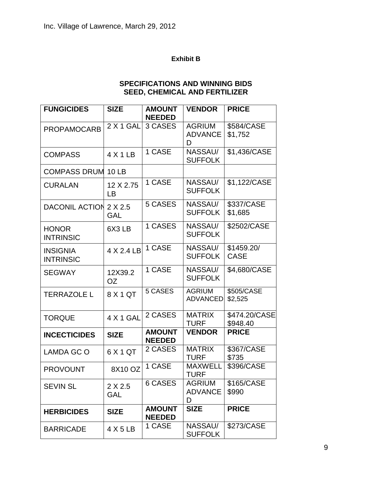#### **Exhibit B**

### **SPECIFICATIONS AND WINNING BIDS SEED, CHEMICAL AND FERTILIZER**

| <b>FUNGICIDES</b>                   | <b>SIZE</b>           | <b>AMOUNT</b><br><b>NEEDED</b> | <b>VENDOR</b>                        | <b>PRICE</b>              |
|-------------------------------------|-----------------------|--------------------------------|--------------------------------------|---------------------------|
| <b>PROPAMOCARB</b>                  | <b>2 X 1 GAL</b>      | 3 CASES                        | <b>AGRIUM</b><br><b>ADVANCE</b><br>D | \$584/CASE<br>\$1,752     |
| <b>COMPASS</b>                      | $4$ X 1 LB            | 1 CASE                         | NASSAU/<br><b>SUFFOLK</b>            | \$1,436/CASE              |
| <b>COMPASS DRUM</b>                 | 10 LB                 |                                |                                      |                           |
| <b>CURALAN</b>                      | 12 X 2.75<br>LB       | 1 CASE                         | NASSAU/<br><b>SUFFOLK</b>            | \$1,122/CASE              |
| DACONIL ACTION 2 X 2.5              | <b>GAL</b>            | 5 CASES                        | NASSAU/<br><b>SUFFOLK</b>            | \$337/CASE<br>\$1,685     |
| <b>HONOR</b><br><b>INTRINSIC</b>    | 6X3LB                 | 1 CASES                        | NASSAU/<br><b>SUFFOLK</b>            | \$2502/CASE               |
| <b>INSIGNIA</b><br><b>INTRINSIC</b> | 4 X 2.4 LB            | 1 CASE                         | NASSAU/<br><b>SUFFOLK</b>            | \$1459.20/<br><b>CASE</b> |
| <b>SEGWAY</b>                       | 12X39.2<br><b>OZ</b>  | 1 CASE                         | NASSAU/<br><b>SUFFOLK</b>            | \$4,680/CASE              |
| <b>TERRAZOLE L</b>                  | 8X1QT                 | 5 CASES                        | <b>AGRIUM</b><br><b>ADVANCED</b>     | \$505/CASE<br>\$2,525     |
| <b>TORQUE</b>                       | 4 X 1 GAL             | 2 CASES                        | <b>MATRIX</b><br><b>TURF</b>         | \$474.20/CASE<br>\$948.40 |
| <b>INCECTICIDES</b>                 | <b>SIZE</b>           | <b>AMOUNT</b><br><b>NEEDED</b> | <b>VENDOR</b>                        | <b>PRICE</b>              |
| LAMDA GC O                          | 6 X 1 QT              | 2 CASES                        | <b>MATRIX</b><br><b>TURF</b>         | \$367/CASE<br>\$735       |
| <b>PROVOUNT</b>                     | 8X10 OZ               | 1 CASE                         | <b>MAXWELL</b><br>TURF               | \$396/CASE                |
| <b>SEVIN SL</b>                     | 2 X 2.5<br><b>GAL</b> | 6 CASES                        | <b>AGRIUM</b><br><b>ADVANCE</b><br>D | \$165/CASE<br>\$990       |
| <b>HERBICIDES</b>                   | <b>SIZE</b>           | <b>AMOUNT</b><br><b>NEEDED</b> | <b>SIZE</b>                          | <b>PRICE</b>              |
| <b>BARRICADE</b>                    | $4 \times 5$ LB       | 1 CASE                         | NASSAU/<br><b>SUFFOLK</b>            | \$273/CASE                |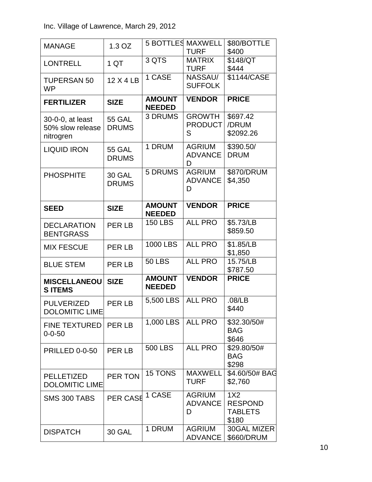| <b>MANAGE</b>                                     | 1.3 OZ                        |                                | <b>5 BOTTLES MAXWELL</b><br><b>TURF</b> | \$80/BOTTLE<br>\$400                             |
|---------------------------------------------------|-------------------------------|--------------------------------|-----------------------------------------|--------------------------------------------------|
| <b>LONTRELL</b>                                   | 1 QT                          | 3 QTS                          | <b>MATRIX</b><br><b>TURF</b>            | \$148/QT<br>\$444                                |
| <b>TUPERSAN 50</b><br><b>WP</b>                   | 12 X 4 LB                     | 1 CASE                         | NASSAU/<br><b>SUFFOLK</b>               | \$1144/CASE                                      |
| <b>FERTILIZER</b>                                 | <b>SIZE</b>                   | <b>AMOUNT</b><br><b>NEEDED</b> | <b>VENDOR</b>                           | <b>PRICE</b>                                     |
| 30-0-0, at least<br>50% slow release<br>nitrogren | <b>55 GAL</b><br><b>DRUMS</b> | 3 DRUMS                        | <b>GROWTH</b><br><b>PRODUCT</b><br>S    | \$697.42<br>/DRUM<br>\$2092.26                   |
| <b>LIQUID IRON</b>                                | <b>55 GAL</b><br><b>DRUMS</b> | 1 DRUM                         | <b>AGRIUM</b><br><b>ADVANCE</b><br>D    | \$390.50/<br><b>DRUM</b>                         |
| <b>PHOSPHITE</b>                                  | 30 GAL<br><b>DRUMS</b>        | 5 DRUMS                        | <b>AGRIUM</b><br><b>ADVANCE</b><br>D    | \$870/DRUM<br>\$4,350                            |
| <b>SEED</b>                                       | <b>SIZE</b>                   | <b>AMOUNT</b><br><b>NEEDED</b> | <b>VENDOR</b>                           | <b>PRICE</b>                                     |
| <b>DECLARATION</b><br><b>BENTGRASS</b>            | PER LB                        | <b>150 LBS</b>                 | <b>ALL PRO</b>                          | \$5.73/LB<br>\$859.50                            |
| <b>MIX FESCUE</b>                                 | PER LB                        | 1000 LBS                       | <b>ALL PRO</b>                          | \$1.85/LB<br>\$1,850                             |
| <b>BLUE STEM</b>                                  | PER LB                        | <b>50 LBS</b>                  | <b>ALL PRO</b>                          | 15.75/LB<br>\$787.50                             |
| <b>MISCELLANEOU</b><br><b>SITEMS</b>              | <b>SIZE</b>                   | <b>AMOUNT</b><br><b>NEEDED</b> | <b>VENDOR</b>                           | <b>PRICE</b>                                     |
| <b>PULVERIZED</b><br><b>DOLOMITIC LIME</b>        | <b>PER LB</b>                 | 5,500 LBS                      | <b>ALL PRO</b>                          | .08/LB<br>\$440                                  |
| <b>FINE TEXTURED</b><br>$0 - 0 - 50$              | <b>PER LB</b>                 | 1,000 LBS                      | <b>ALL PRO</b>                          | \$32.30/50#<br><b>BAG</b><br>\$646               |
| PRILLED 0-0-50                                    | PER LB                        | <b>500 LBS</b>                 | <b>ALL PRO</b>                          | \$29.80/50#<br><b>BAG</b><br>\$298               |
| <b>PELLETIZED</b><br><b>DOLOMITIC LIME</b>        | PER TON                       | 15 TONS                        | <b>MAXWELL</b><br><b>TURF</b>           | \$4.60/50# BAG<br>\$2,760                        |
| SMS 300 TABS                                      | PER CASE                      | 1 CASE                         | <b>AGRIUM</b><br><b>ADVANCE</b><br>D    | 1X2<br><b>RESPOND</b><br><b>TABLETS</b><br>\$180 |
| <b>DISPATCH</b>                                   | <b>30 GAL</b>                 | 1 DRUM                         | <b>AGRIUM</b><br><b>ADVANCE</b>         | 30GAL MIZER<br>\$660/DRUM                        |